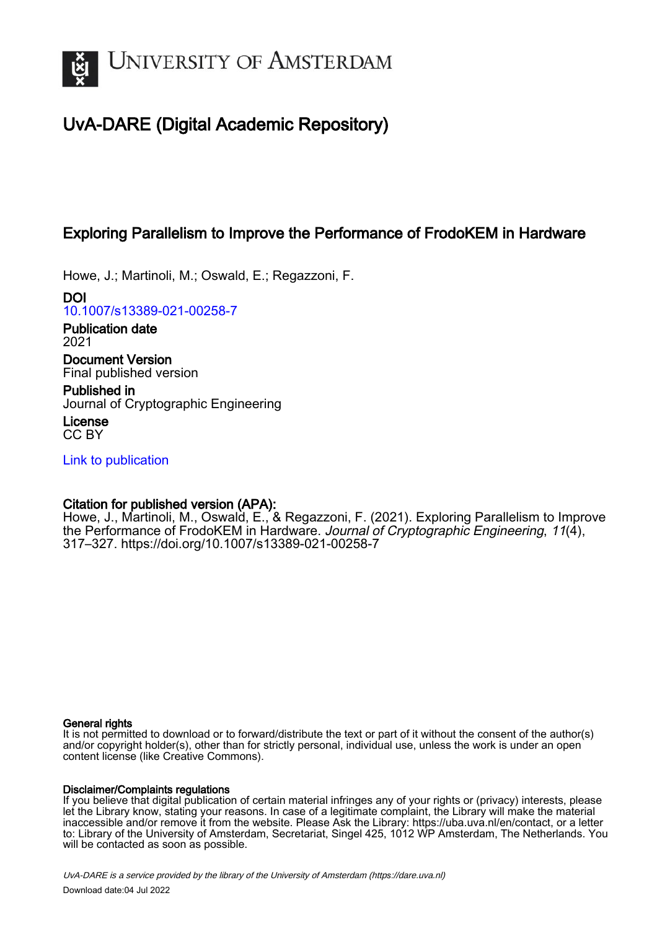

# UvA-DARE (Digital Academic Repository)

## Exploring Parallelism to Improve the Performance of FrodoKEM in Hardware

Howe, J.; Martinoli, M.; Oswald, E.; Regazzoni, F.

DOI [10.1007/s13389-021-00258-7](https://doi.org/10.1007/s13389-021-00258-7)

Publication date 2021 Document Version

Final published version

Published in Journal of Cryptographic Engineering

License CC BY

[Link to publication](https://dare.uva.nl/personal/pure/en/publications/exploring-parallelism-to-improve-the-performance-of-frodokem-in-hardware(f381e232-e24b-4e7b-afec-53b5630ca3e5).html)

## Citation for published version (APA):

Howe, J., Martinoli, M., Oswald, E., & Regazzoni, F. (2021). Exploring Parallelism to Improve the Performance of FrodoKEM in Hardware. Journal of Cryptographic Engineering, 11(4), 317–327. <https://doi.org/10.1007/s13389-021-00258-7>

## General rights

It is not permitted to download or to forward/distribute the text or part of it without the consent of the author(s) and/or copyright holder(s), other than for strictly personal, individual use, unless the work is under an open content license (like Creative Commons).

## Disclaimer/Complaints regulations

If you believe that digital publication of certain material infringes any of your rights or (privacy) interests, please let the Library know, stating your reasons. In case of a legitimate complaint, the Library will make the material inaccessible and/or remove it from the website. Please Ask the Library: https://uba.uva.nl/en/contact, or a letter to: Library of the University of Amsterdam, Secretariat, Singel 425, 1012 WP Amsterdam, The Netherlands. You will be contacted as soon as possible.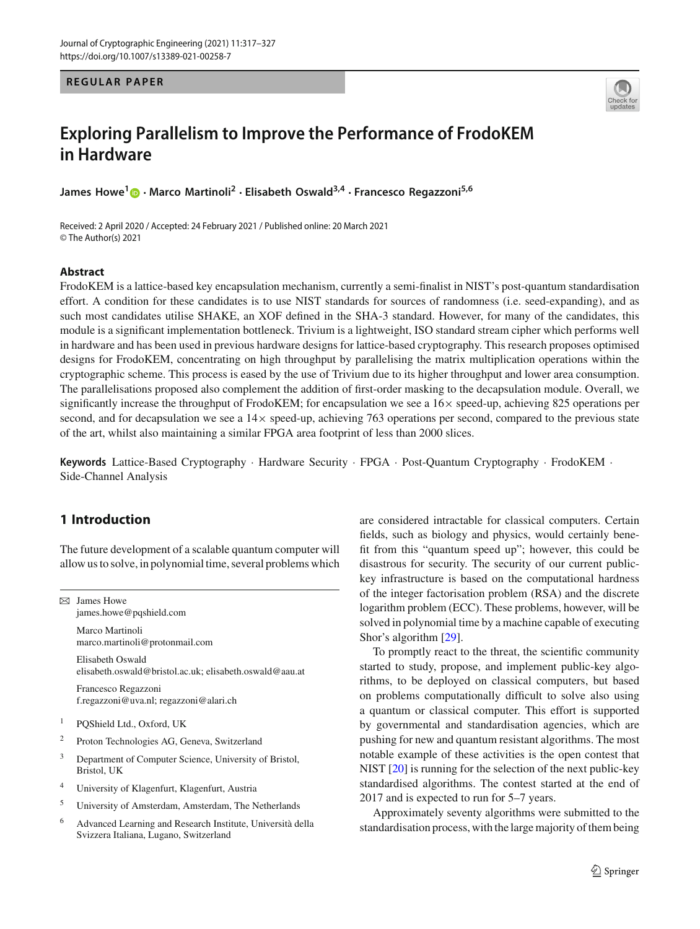### **REGULAR PAPER**



## **Exploring Parallelism to Improve the Performance of FrodoKEM in Hardware**

**James Howe[1](http://orcid.org/0000-0002-6498-3099) · Marco Martinoli<sup>2</sup> · Elisabeth Oswald3,4 · Francesco Regazzoni5,6**

Received: 2 April 2020 / Accepted: 24 February 2021 / Published online: 20 March 2021 © The Author(s) 2021

#### **Abstract**

FrodoKEM is a lattice-based key encapsulation mechanism, currently a semi-finalist in NIST's post-quantum standardisation effort. A condition for these candidates is to use NIST standards for sources of randomness (i.e. seed-expanding), and as such most candidates utilise SHAKE, an XOF defined in the SHA-3 standard. However, for many of the candidates, this module is a significant implementation bottleneck. Trivium is a lightweight, ISO standard stream cipher which performs well in hardware and has been used in previous hardware designs for lattice-based cryptography. This research proposes optimised designs for FrodoKEM, concentrating on high throughput by parallelising the matrix multiplication operations within the cryptographic scheme. This process is eased by the use of Trivium due to its higher throughput and lower area consumption. The parallelisations proposed also complement the addition of first-order masking to the decapsulation module. Overall, we significantly increase the throughput of FrodoKEM; for encapsulation we see a 16× speed-up, achieving 825 operations per second, and for decapsulation we see a  $14\times$  speed-up, achieving 763 operations per second, compared to the previous state of the art, whilst also maintaining a similar FPGA area footprint of less than 2000 slices.

**Keywords** Lattice-Based Cryptography · Hardware Security · FPGA · Post-Quantum Cryptography · FrodoKEM · Side-Channel Analysis

## **1 Introduction**

The future development of a scalable quantum computer will allow us to solve, in polynomial time, several problems which

 $\boxtimes$  James Howe james.howe@pqshield.com

> Marco Martinoli marco.martinoli@protonmail.com

Elisabeth Oswald elisabeth.oswald@bristol.ac.uk; elisabeth.oswald@aau.at

Francesco Regazzoni f.regazzoni@uva.nl; regazzoni@alari.ch

- <sup>1</sup> PQShield Ltd., Oxford, UK
- <sup>2</sup> Proton Technologies AG, Geneva, Switzerland
- <sup>3</sup> Department of Computer Science, University of Bristol, Bristol, UK
- <sup>4</sup> University of Klagenfurt, Klagenfurt, Austria
- <sup>5</sup> University of Amsterdam, Amsterdam, The Netherlands
- <sup>6</sup> Advanced Learning and Research Institute, Università della Svizzera Italiana, Lugano, Switzerland

are considered intractable for classical computers. Certain fields, such as biology and physics, would certainly benefit from this "quantum speed up"; however, this could be disastrous for security. The security of our current publickey infrastructure is based on the computational hardness of the integer factorisation problem (RSA) and the discrete logarithm problem (ECC). These problems, however, will be solved in polynomial time by a machine capable of executing Shor's algorithm [\[29\]](#page-11-0).

To promptly react to the threat, the scientific community started to study, propose, and implement public-key algorithms, to be deployed on classical computers, but based on problems computationally difficult to solve also using a quantum or classical computer. This effort is supported by governmental and standardisation agencies, which are pushing for new and quantum resistant algorithms. The most notable example of these activities is the open contest that NIST [\[20\]](#page-11-1) is running for the selection of the next public-key standardised algorithms. The contest started at the end of 2017 and is expected to run for 5–7 years.

Approximately seventy algorithms were submitted to the standardisation process, with the large majority of them being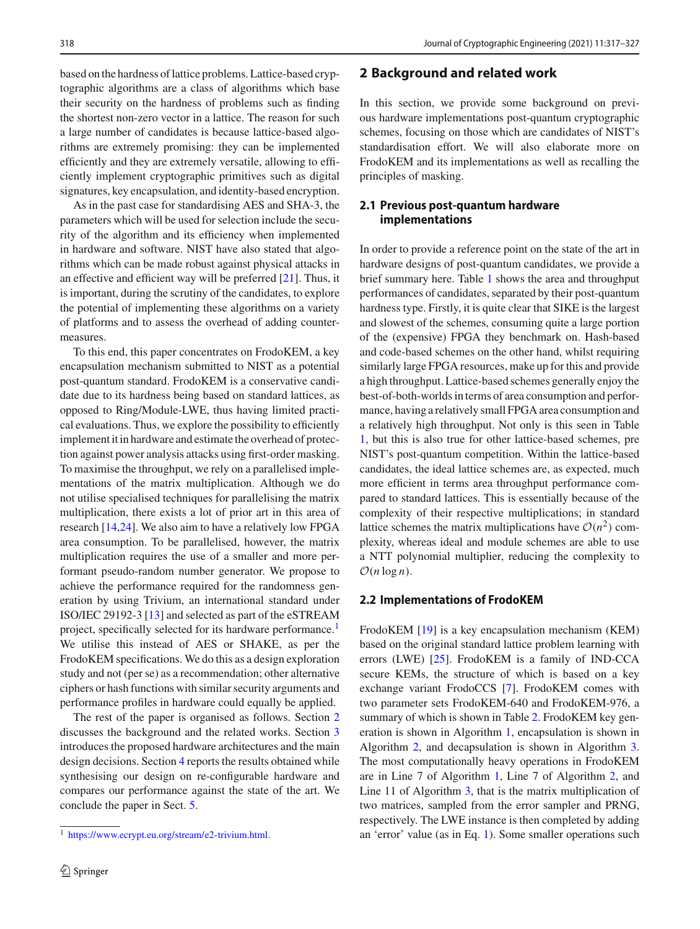based on the hardness of lattice problems. Lattice-based cryptographic algorithms are a class of algorithms which base their security on the hardness of problems such as finding the shortest non-zero vector in a lattice. The reason for such a large number of candidates is because lattice-based algorithms are extremely promising: they can be implemented efficiently and they are extremely versatile, allowing to efficiently implement cryptographic primitives such as digital signatures, key encapsulation, and identity-based encryption.

As in the past case for standardising AES and SHA-3, the parameters which will be used for selection include the security of the algorithm and its efficiency when implemented in hardware and software. NIST have also stated that algorithms which can be made robust against physical attacks in an effective and efficient way will be preferred [\[21\]](#page-11-2). Thus, it is important, during the scrutiny of the candidates, to explore the potential of implementing these algorithms on a variety of platforms and to assess the overhead of adding countermeasures.

To this end, this paper concentrates on FrodoKEM, a key encapsulation mechanism submitted to NIST as a potential post-quantum standard. FrodoKEM is a conservative candidate due to its hardness being based on standard lattices, as opposed to Ring/Module-LWE, thus having limited practical evaluations. Thus, we explore the possibility to efficiently implement it in hardware and estimate the overhead of protection against power analysis attacks using first-order masking. To maximise the throughput, we rely on a parallelised implementations of the matrix multiplication. Although we do not utilise specialised techniques for parallelising the matrix multiplication, there exists a lot of prior art in this area of research [\[14](#page-11-3)[,24](#page-11-4)]. We also aim to have a relatively low FPGA area consumption. To be parallelised, however, the matrix multiplication requires the use of a smaller and more performant pseudo-random number generator. We propose to achieve the performance required for the randomness generation by using Trivium, an international standard under ISO/IEC 29192-3 [\[13](#page-11-5)] and selected as part of the eSTREAM project, specifically selected for its hardware performance.<sup>1</sup> We utilise this instead of AES or SHAKE, as per the FrodoKEM specifications. We do this as a design exploration study and not (per se) as a recommendation; other alternative ciphers or hash functions with similar security arguments and performance profiles in hardware could equally be applied.

The rest of the paper is organised as follows. Section [2](#page-2-1) discusses the background and the related works. Section [3](#page-5-0) introduces the proposed hardware architectures and the main design decisions. Section [4](#page-7-0) reports the results obtained while synthesising our design on re-configurable hardware and compares our performance against the state of the art. We conclude the paper in Sect. [5.](#page-9-0)

## <span id="page-2-1"></span>**2 Background and related work**

In this section, we provide some background on previous hardware implementations post-quantum cryptographic schemes, focusing on those which are candidates of NIST's standardisation effort. We will also elaborate more on FrodoKEM and its implementations as well as recalling the principles of masking.

## **2.1 Previous post-quantum hardware implementations**

In order to provide a reference point on the state of the art in hardware designs of post-quantum candidates, we provide a brief summary here. Table [1](#page-3-0) shows the area and throughput performances of candidates, separated by their post-quantum hardness type. Firstly, it is quite clear that SIKE is the largest and slowest of the schemes, consuming quite a large portion of the (expensive) FPGA they benchmark on. Hash-based and code-based schemes on the other hand, whilst requiring similarly large FPGA resources, make up for this and provide a high throughput. Lattice-based schemes generally enjoy the best-of-both-worlds in terms of area consumption and performance, having a relatively small FPGA area consumption and a relatively high throughput. Not only is this seen in Table [1,](#page-3-0) but this is also true for other lattice-based schemes, pre NIST's post-quantum competition. Within the lattice-based candidates, the ideal lattice schemes are, as expected, much more efficient in terms area throughput performance compared to standard lattices. This is essentially because of the complexity of their respective multiplications; in standard lattice schemes the matrix multiplications have  $O(n^2)$  complexity, whereas ideal and module schemes are able to use a NTT polynomial multiplier, reducing the complexity to  $O(n \log n)$ .

#### **2.2 Implementations of FrodoKEM**

FrodoKEM [\[19](#page-11-6)] is a key encapsulation mechanism (KEM) based on the original standard lattice problem learning with errors (LWE) [\[25](#page-11-7)]. FrodoKEM is a family of IND-CCA secure KEMs, the structure of which is based on a key exchange variant FrodoCCS [\[7\]](#page-11-8). FrodoKEM comes with two parameter sets FrodoKEM-640 and FrodoKEM-976, a summary of which is shown in Table [2.](#page-3-1) FrodoKEM key generation is shown in Algorithm [1,](#page-3-2) encapsulation is shown in Algorithm [2,](#page-3-3) and decapsulation is shown in Algorithm [3.](#page-4-0) The most computationally heavy operations in FrodoKEM are in Line 7 of Algorithm [1,](#page-3-2) Line 7 of Algorithm [2,](#page-3-3) and Line 11 of Algorithm [3,](#page-4-0) that is the matrix multiplication of two matrices, sampled from the error sampler and PRNG, respectively. The LWE instance is then completed by adding an 'error' value (as in Eq. [1\)](#page-6-0). Some smaller operations such

<span id="page-2-0"></span><sup>1</sup> [https://www.ecrypt.eu.org/stream/e2-trivium.html.](https://www.ecrypt.eu.org/stream/e2-trivium.html)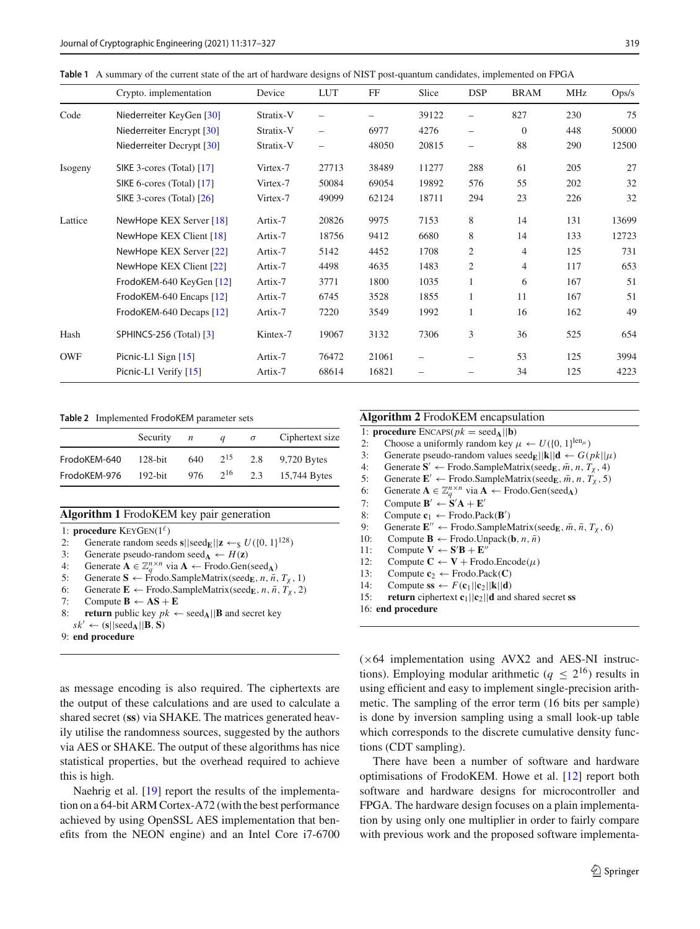<span id="page-3-0"></span>

|  |  |  |  | <b>Table 1</b> A summary of the current state of the art of hardware designs of NIST post-quantum candidates, implemented on FPGA |  |
|--|--|--|--|-----------------------------------------------------------------------------------------------------------------------------------|--|
|--|--|--|--|-----------------------------------------------------------------------------------------------------------------------------------|--|

|            | Crypto. implementation      | Device    | <b>LUT</b>               | FF    | Slice | <b>DSP</b>               | <b>BRAM</b>    | MHz | Ops/s |
|------------|-----------------------------|-----------|--------------------------|-------|-------|--------------------------|----------------|-----|-------|
| Code       | Niederreiter KeyGen [30]    | Stratix-V |                          |       | 39122 |                          | 827            | 230 | 75    |
|            | Niederreiter Encrypt [30]   | Stratix-V | -                        | 6977  | 4276  | -                        | $\overline{0}$ | 448 | 50000 |
|            | Niederreiter Decrypt [30]   | Stratix-V | $\overline{\phantom{0}}$ | 48050 | 20815 | $\overline{\phantom{0}}$ | 88             | 290 | 12500 |
| Isogeny    | SIKE 3-cores (Total) [17]   | Virtex-7  | 27713                    | 38489 | 11277 | 288                      | 61             | 205 | 27    |
|            | SIKE 6-cores (Total) [17]   | Virtex-7  | 50084                    | 69054 | 19892 | 576                      | 55             | 202 | 32    |
|            | SIKE 3-cores (Total) $[26]$ | Virtex-7  | 49099                    | 62124 | 18711 | 294                      | 23             | 226 | 32    |
| Lattice    | NewHope KEX Server [18]     | Artix-7   | 20826                    | 9975  | 7153  | 8                        | 14             | 131 | 13699 |
|            | NewHope KEX Client [18]     | Artix-7   | 18756                    | 9412  | 6680  | 8                        | 14             | 133 | 12723 |
|            | NewHope KEX Server [22]     | Artix-7   | 5142                     | 4452  | 1708  | $\overline{2}$           | $\overline{4}$ | 125 | 731   |
|            | NewHope KEX Client [22]     | Artix-7   | 4498                     | 4635  | 1483  | $\overline{c}$           | $\overline{4}$ | 117 | 653   |
|            | FrodoKEM-640 KeyGen [12]    | Artix-7   | 3771                     | 1800  | 1035  | $\mathbf{1}$             | 6              | 167 | 51    |
|            | FrodoKEM-640 Encaps [12]    | Artix-7   | 6745                     | 3528  | 1855  | $\mathbf{1}$             | 11             | 167 | 51    |
|            | FrodoKEM-640 Decaps [12]    | Artix-7   | 7220                     | 3549  | 1992  |                          | 16             | 162 | 49    |
| Hash       | SPHINCS-256 (Total) [3]     | Kintex-7  | 19067                    | 3132  | 7306  | 3                        | 36             | 525 | 654   |
| <b>OWF</b> | Picnic-L1 Sign $[15]$       | Artix-7   | 76472                    | 21061 |       |                          | 53             | 125 | 3994  |
|            | Picnic-L1 Verify [15]       | Artix-7   | 68614                    | 16821 |       |                          | 34             | 125 | 4223  |

<span id="page-3-1"></span>**Table 2** Implemented FrodoKEM parameter sets

|              | Security   | n   | a        | $\sigma$ | Ciphertext size |
|--------------|------------|-----|----------|----------|-----------------|
| FrodoKEM-640 | $128$ -bit | 640 | $2^{15}$ | 2.8      | $9,720$ Bytes   |
| FrodoKEM-976 | $192$ -bit | 976 | $2^{16}$ | 2.3      | 15,744 Bytes    |

## <span id="page-3-2"></span>**Algorithm 1** FrodoKEM key pair generation

- 1: **procedure**  $KEYGEN(1^{\ell})$
- 2: Generate random seeds  $s||\text{seed}_E||z \leftarrow s U({0, 1})^{128}$ <br>3: Generate pseudo-random seed $\lambda \leftarrow H(z)$
- 3: Generate pseudo-random seed $_A \leftarrow H(z)$ <br>4: Generate  $A \in \mathbb{Z}_+^{n \times n}$  via  $A \leftarrow$  Frodo.Gen
- 4: Generate  $A \in \mathbb{Z}_q^{n \times n}$  via  $A \leftarrow$  Frodo.Gen(seed<sub>A</sub>)<br>5: Generate  $S \leftarrow$  Frodo.SampleMatrix(seedr. *n. n.*
- 5: Generate  $\mathbf{S} \leftarrow \text{Frodo.SampleMatrix}(\text{seed}_{\mathbf{E}}, n, \bar{n}, T_{\chi}, 1)$ <br>6: Generate  $\mathbf{E} \leftarrow \text{Frodo.SampleMatrix}(\text{seed}_{\mathbf{E}}, n, \bar{n}, T_{\chi}, 2)$
- 6: Generate  $\mathbf{E} \leftarrow$  Frodo.SampleMatrix(seed<sub>E</sub>, *n*,  $\bar{n}$ ,  $T_\chi$ , 2)<br>7: Compute  $\mathbf{B} \leftarrow \mathbf{AS} + \mathbf{E}$
- $Compute B \leftarrow AS + E$
- **return** public key  $pk \leftarrow \text{seed}_{\mathbf{A}}||\mathbf{B}$  and secret key  $sk' \leftarrow (\mathbf{s}||\text{seed}_{\mathbf{A}}||\mathbf{B}, \mathbf{S})$
- 9: **end procedure**

as message encoding is also required. The ciphertexts are the output of these calculations and are used to calculate a shared secret (**ss**) via SHAKE. The matrices generated heavily utilise the randomness sources, suggested by the authors via AES or SHAKE. The output of these algorithms has nice statistical properties, but the overhead required to achieve this is high.

Naehrig et al. [\[19](#page-11-6)] report the results of the implementation on a 64-bit ARM Cortex-A72 (with the best performance achieved by using OpenSSL AES implementation that benefits from the NEON engine) and an Intel Core i7-6700

#### <span id="page-3-3"></span>**Algorithm 2** FrodoKEM encapsulation

1: **procedure** ENCAPS( $pk = seed_A || \bf{b}$ )<br>2: Choose a uniformly random key 2: Choose a uniformly random key  $\mu \leftarrow U({0, 1}]^{\text{len}\mu}$ <br>3: Generate pseudo-random values seed<sub>E</sub>||k||**d**  $\leftarrow G$ ( 3: Generate pseudo-random values seed<sub>E</sub>||k||d ←  $G(pk||\mu)$ <br>4: Generate  $S' \leftarrow$  Frodo.SampleMatrix(seed<sub>F</sub>,  $\bar{m}$ ,  $n$ ,  $T_{\gamma}$ , 4) 4: Generate  $S' \leftarrow$  Frodo.SampleMatrix(seed<sub>E</sub>,  $\bar{m}$ , *n*, *T*<sub>x</sub>, 4)<br>5: Generate  $E' \leftarrow$  Frodo.SampleMatrix(seed<sub>E</sub>,  $\bar{m}$ , *n*, *T*<sub>x</sub>, 5) 5: Generate  $\mathbf{E}' \leftarrow \text{Frodo.SampleMatrix}(\text{seed}_E, \bar{m}, n, T_\chi, 5)$ <br>6: Generate  $\mathbf{A} \in \mathbb{Z}^{n \times n}$  via  $\mathbf{A} \leftarrow \text{Frodo.Gen}(\text{seed}_\mathbf{A})$ 6: Generate  $\mathbf{A} \in \mathbb{Z}_q^{n \times n}$  via  $\mathbf{A} \leftarrow \text{Frodo.Gen}(seed_\mathbf{A})$ <br>7: Compute  $\mathbf{B}' \leftarrow \mathbf{S}'\mathbf{A} + \mathbf{E}'$ 7: Compute  $B' \leftarrow S'A + E'$ 8: Compute  $\mathbf{c}_1 \leftarrow$  Frodo.Pack( $\mathbf{B}'$ ) 9: Generate  $\mathbf{E}'' \leftarrow$  Frodo.SampleMatrix(seed<sub>E</sub>,  $\overline{m}$ ,  $\overline{n}$ ,  $T_\chi$ , 6)<br>10: Compute  $\mathbf{B} \leftarrow$  Frodo.Unpack( $\mathbf{b}$ ,  $n, \overline{n}$ ) 10: Compute **B** ← Frodo.Unpack(**b**, *n*,  $\bar{n}$ )<br>11: Compute **V** ← **S'B** + **E**" 11: Compute  $V \leftarrow S'B + E''$ 12: Compute  $C \leftarrow V +$  Frodo.Encode( $\mu$ )<br>13: Compute  $c_2 \leftarrow$  Frodo Pack( $C$ ) 13: Compute  $c_2 \leftarrow$  Frodo.Pack(**C**)<br>14: Compute  $ss \leftarrow F(c_1||c_2||k||d)$ 14: Compute  $\mathbf{s} \leftarrow F(\mathbf{c}_1||\mathbf{c}_2||\mathbf{k}||\mathbf{d})$ <br>15: **return** ciphertext  $\mathbf{c}_1||\mathbf{c}_2||\mathbf{d}$  and **return** ciphertext  $c_1||c_2||d$  and shared secret **ss** 16: **end procedure**

 $(x64)$  implementation using AVX2 and AES-NI instructions). Employing modular arithmetic ( $q \leq 2^{16}$ ) results in using efficient and easy to implement single-precision arithmetic. The sampling of the error term (16 bits per sample) is done by inversion sampling using a small look-up table which corresponds to the discrete cumulative density functions (CDT sampling).

There have been a number of software and hardware optimisations of FrodoKEM. Howe et al. [\[12](#page-11-14)] report both software and hardware designs for microcontroller and FPGA. The hardware design focuses on a plain implementation by using only one multiplier in order to fairly compare with previous work and the proposed software implementa-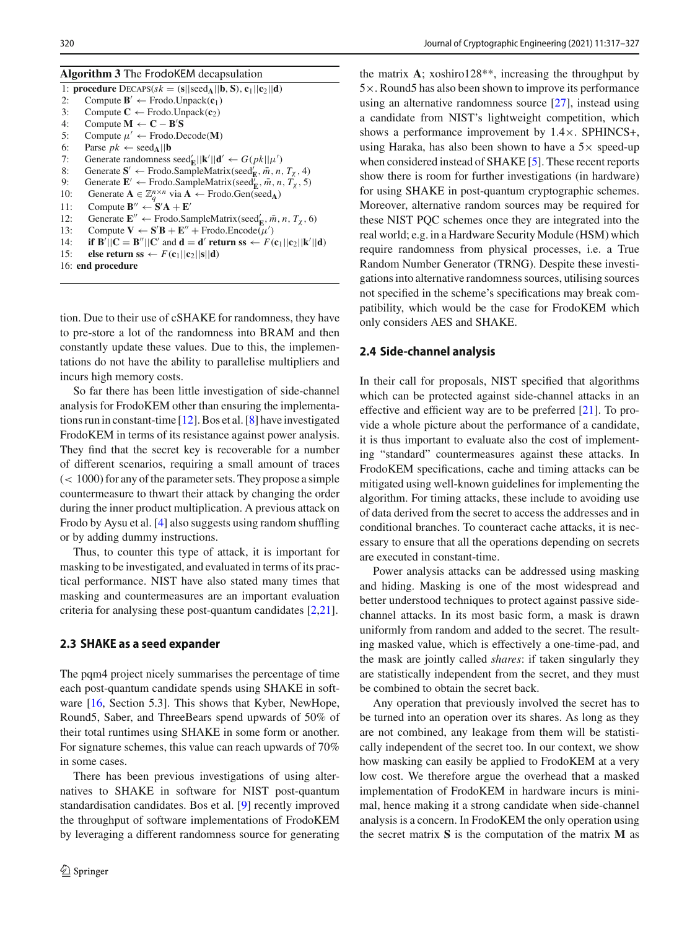<span id="page-4-0"></span>

|  | Algorithm 3 The FrodoKEM decapsulation |
|--|----------------------------------------|
|  |                                        |

| 1: procedure $\text{DECAPS}(sk = (s  seed_A  b, S), c_1  c_2  d)$                                                                           |
|---------------------------------------------------------------------------------------------------------------------------------------------|
| Compute $B' \leftarrow$ Frodo. Unpack $(c_1)$<br>2:                                                                                         |
| Compute $C \leftarrow$ Frodo.Unpack $(c_2)$<br>3:                                                                                           |
| Compute $M \leftarrow C - B'S$<br>4:                                                                                                        |
| Compute $\mu' \leftarrow$ Frodo.Decode(M)<br>5:                                                                                             |
| 6:<br>Parse $pk \leftarrow$ seed <sub>A</sub>    <b>b</b>                                                                                   |
| Generate randomness seed <sup>'</sup> <sub>E</sub>    <b>k</b> '   <b>d</b> ' $\leftarrow$ $G(pk  \mu')$<br>7:                              |
| Generate $S' \leftarrow$ Frodo.SampleMatrix(seed' <sub>E</sub> , $\bar{m}$ , n, T <sub>x</sub> , 4)<br>8:                                   |
| Generate $\mathbf{E}' \leftarrow$ Frodo. SampleMatrix (seed <sup>'</sup> <sub>E</sub> , $\bar{m}$ , n, T <sub>x</sub> , 5)<br>9:            |
| Generate $A \in \mathbb{Z}_q^{n \times n}$ via $A \leftarrow$ Frodo.Gen(seed <sub>A</sub> )<br>10:                                          |
| Compute $B'' \leftarrow S'A + E'$<br>11:                                                                                                    |
| Generate $\mathbf{E}'' \leftarrow$ Frodo.SampleMatrix(seed' <sub><math>\mathbf{E}</math></sub> , $\bar{m}$ , $n$ , $T_{\gamma}$ , 6)<br>12: |
| Compute $V \leftarrow S'B + E'' +$ Frodo. Encode $(\mu')$<br>13:                                                                            |
| if $B'  C = B''  C'$ and $d = d'$ return ss $\leftarrow F(c_1  c_2  k'  d)$<br>14:                                                          |
| else return ss $\leftarrow F(c_1  c_2  s  d)$<br>15:                                                                                        |
| 16: end procedure                                                                                                                           |
|                                                                                                                                             |

tion. Due to their use of cSHAKE for randomness, they have to pre-store a lot of the randomness into BRAM and then constantly update these values. Due to this, the implementations do not have the ability to parallelise multipliers and incurs high memory costs.

So far there has been little investigation of side-channel analysis for FrodoKEM other than ensuring the implementations run in constant-time [\[12\]](#page-11-14). Bos et al. [\[8\]](#page-11-16) have investigated FrodoKEM in terms of its resistance against power analysis. They find that the secret key is recoverable for a number of different scenarios, requiring a small amount of traces  $(< 1000$ ) for any of the parameter sets. They propose a simple countermeasure to thwart their attack by changing the order during the inner product multiplication. A previous attack on Frodo by Aysu et al. [\[4](#page-10-1)] also suggests using random shuffling or by adding dummy instructions.

Thus, to counter this type of attack, it is important for masking to be investigated, and evaluated in terms of its practical performance. NIST have also stated many times that masking and countermeasures are an important evaluation criteria for analysing these post-quantum candidates [\[2](#page-10-2)[,21](#page-11-2)].

#### <span id="page-4-1"></span>**2.3 SHAKE as a seed expander**

The pqm4 project nicely summarises the percentage of time each post-quantum candidate spends using SHAKE in software [\[16](#page-11-17), Section 5.3]. This shows that Kyber, NewHope, Round5, Saber, and ThreeBears spend upwards of 50% of their total runtimes using SHAKE in some form or another. For signature schemes, this value can reach upwards of 70% in some cases.

There has been previous investigations of using alternatives to SHAKE in software for NIST post-quantum standardisation candidates. Bos et al. [\[9](#page-11-18)] recently improved the throughput of software implementations of FrodoKEM by leveraging a different randomness source for generating the matrix **A**; xoshiro128\*\*, increasing the throughput by 5×. Round5 has also been shown to improve its performance using an alternative randomness source [\[27](#page-11-19)], instead using a candidate from NIST's lightweight competition, which shows a performance improvement by  $1.4 \times$ . SPHINCS+, using Haraka, has also been shown to have a  $5\times$  speed-up when considered instead of SHAKE [\[5\]](#page-11-20). These recent reports show there is room for further investigations (in hardware) for using SHAKE in post-quantum cryptographic schemes. Moreover, alternative random sources may be required for these NIST PQC schemes once they are integrated into the real world; e.g. in a Hardware Security Module (HSM) which require randomness from physical processes, i.e. a True Random Number Generator (TRNG). Despite these investigations into alternative randomness sources, utilising sources not specified in the scheme's specifications may break compatibility, which would be the case for FrodoKEM which only considers AES and SHAKE.

#### <span id="page-4-2"></span>**2.4 Side-channel analysis**

In their call for proposals, NIST specified that algorithms which can be protected against side-channel attacks in an effective and efficient way are to be preferred [\[21\]](#page-11-2). To provide a whole picture about the performance of a candidate, it is thus important to evaluate also the cost of implementing "standard" countermeasures against these attacks. In FrodoKEM specifications, cache and timing attacks can be mitigated using well-known guidelines for implementing the algorithm. For timing attacks, these include to avoiding use of data derived from the secret to access the addresses and in conditional branches. To counteract cache attacks, it is necessary to ensure that all the operations depending on secrets are executed in constant-time.

Power analysis attacks can be addressed using masking and hiding. Masking is one of the most widespread and better understood techniques to protect against passive sidechannel attacks. In its most basic form, a mask is drawn uniformly from random and added to the secret. The resulting masked value, which is effectively a one-time-pad, and the mask are jointly called *shares*: if taken singularly they are statistically independent from the secret, and they must be combined to obtain the secret back.

Any operation that previously involved the secret has to be turned into an operation over its shares. As long as they are not combined, any leakage from them will be statistically independent of the secret too. In our context, we show how masking can easily be applied to FrodoKEM at a very low cost. We therefore argue the overhead that a masked implementation of FrodoKEM in hardware incurs is minimal, hence making it a strong candidate when side-channel analysis is a concern. In FrodoKEM the only operation using the secret matrix **S** is the computation of the matrix **M** as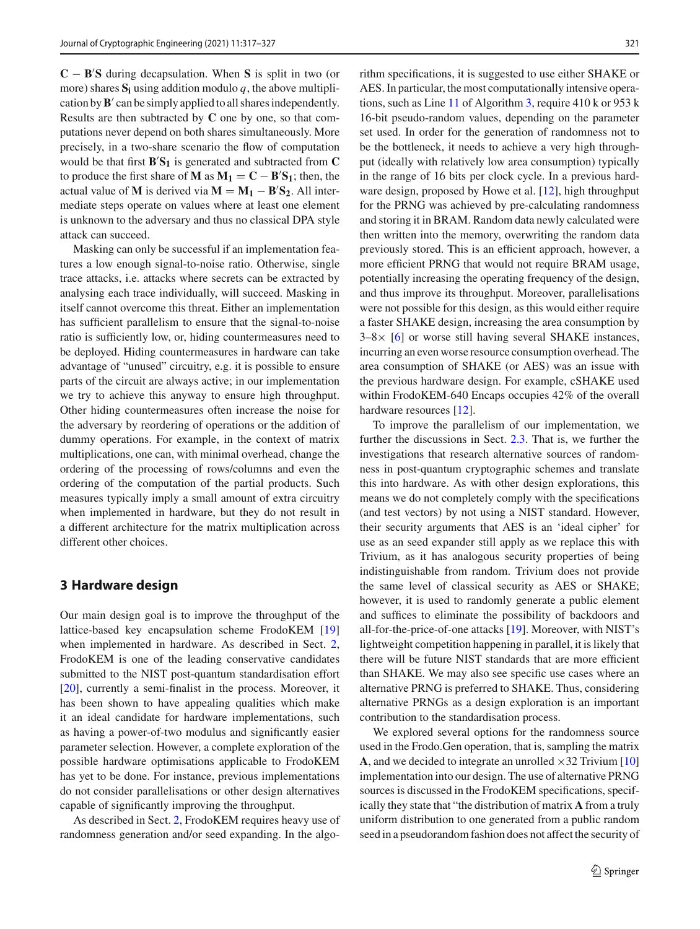**C** − **B S** during decapsulation. When **S** is split in two (or more) shares  $S_i$  using addition modulo  $q$ , the above multiplication by  $\mathbf{B}'$  can be simply applied to all shares independently. Results are then subtracted by **C** one by one, so that computations never depend on both shares simultaneously. More precisely, in a two-share scenario the flow of computation would be that first  $\mathbf{B}'\mathbf{S}_1$  is generated and subtracted from  $\mathbf{C}$ to produce the first share of **M** as  $M_1 = C - B'S_1$ ; then, the actual value of **M** is derived via  $M = M_1 - B'S_2$ . All intermediate steps operate on values where at least one element is unknown to the adversary and thus no classical DPA style attack can succeed.

Masking can only be successful if an implementation features a low enough signal-to-noise ratio. Otherwise, single trace attacks, i.e. attacks where secrets can be extracted by analysing each trace individually, will succeed. Masking in itself cannot overcome this threat. Either an implementation has sufficient parallelism to ensure that the signal-to-noise ratio is sufficiently low, or, hiding countermeasures need to be deployed. Hiding countermeasures in hardware can take advantage of "unused" circuitry, e.g. it is possible to ensure parts of the circuit are always active; in our implementation we try to achieve this anyway to ensure high throughput. Other hiding countermeasures often increase the noise for the adversary by reordering of operations or the addition of dummy operations. For example, in the context of matrix multiplications, one can, with minimal overhead, change the ordering of the processing of rows/columns and even the ordering of the computation of the partial products. Such measures typically imply a small amount of extra circuitry when implemented in hardware, but they do not result in a different architecture for the matrix multiplication across different other choices.

## <span id="page-5-0"></span>**3 Hardware design**

Our main design goal is to improve the throughput of the lattice-based key encapsulation scheme FrodoKEM [\[19\]](#page-11-6) when implemented in hardware. As described in Sect. [2,](#page-2-1) FrodoKEM is one of the leading conservative candidates submitted to the NIST post-quantum standardisation effort [\[20](#page-11-1)], currently a semi-finalist in the process. Moreover, it has been shown to have appealing qualities which make it an ideal candidate for hardware implementations, such as having a power-of-two modulus and significantly easier parameter selection. However, a complete exploration of the possible hardware optimisations applicable to FrodoKEM has yet to be done. For instance, previous implementations do not consider parallelisations or other design alternatives capable of significantly improving the throughput.

As described in Sect. [2,](#page-2-1) FrodoKEM requires heavy use of randomness generation and/or seed expanding. In the algorithm specifications, it is suggested to use either SHAKE or AES. In particular, the most computationally intensive operations, such as Line [11](#page-4-0) of Algorithm [3,](#page-4-0) require 410 k or 953 k 16-bit pseudo-random values, depending on the parameter set used. In order for the generation of randomness not to be the bottleneck, it needs to achieve a very high throughput (ideally with relatively low area consumption) typically in the range of 16 bits per clock cycle. In a previous hard-ware design, proposed by Howe et al. [\[12\]](#page-11-14), high throughput for the PRNG was achieved by pre-calculating randomness and storing it in BRAM. Random data newly calculated were then written into the memory, overwriting the random data previously stored. This is an efficient approach, however, a more efficient PRNG that would not require BRAM usage, potentially increasing the operating frequency of the design, and thus improve its throughput. Moreover, parallelisations were not possible for this design, as this would either require a faster SHAKE design, increasing the area consumption by  $3-8\times$  [\[6\]](#page-11-21) or worse still having several SHAKE instances, incurring an even worse resource consumption overhead. The area consumption of SHAKE (or AES) was an issue with the previous hardware design. For example, cSHAKE used within FrodoKEM-640 Encaps occupies 42% of the overall hardware resources [\[12](#page-11-14)].

To improve the parallelism of our implementation, we further the discussions in Sect. [2.3.](#page-4-1) That is, we further the investigations that research alternative sources of randomness in post-quantum cryptographic schemes and translate this into hardware. As with other design explorations, this means we do not completely comply with the specifications (and test vectors) by not using a NIST standard. However, their security arguments that AES is an 'ideal cipher' for use as an seed expander still apply as we replace this with Trivium, as it has analogous security properties of being indistinguishable from random. Trivium does not provide the same level of classical security as AES or SHAKE; however, it is used to randomly generate a public element and suffices to eliminate the possibility of backdoors and all-for-the-price-of-one attacks [\[19](#page-11-6)]. Moreover, with NIST's lightweight competition happening in parallel, it is likely that there will be future NIST standards that are more efficient than SHAKE. We may also see specific use cases where an alternative PRNG is preferred to SHAKE. Thus, considering alternative PRNGs as a design exploration is an important contribution to the standardisation process.

We explored several options for the randomness source used in the Frodo.Gen operation, that is, sampling the matrix **A**, and we decided to integrate an unrolled  $\times$ 32 Trivium [\[10\]](#page-11-22) implementation into our design. The use of alternative PRNG sources is discussed in the FrodoKEM specifications, specifically they state that "the distribution of matrix **A** from a truly uniform distribution to one generated from a public random seed in a pseudorandom fashion does not affect the security of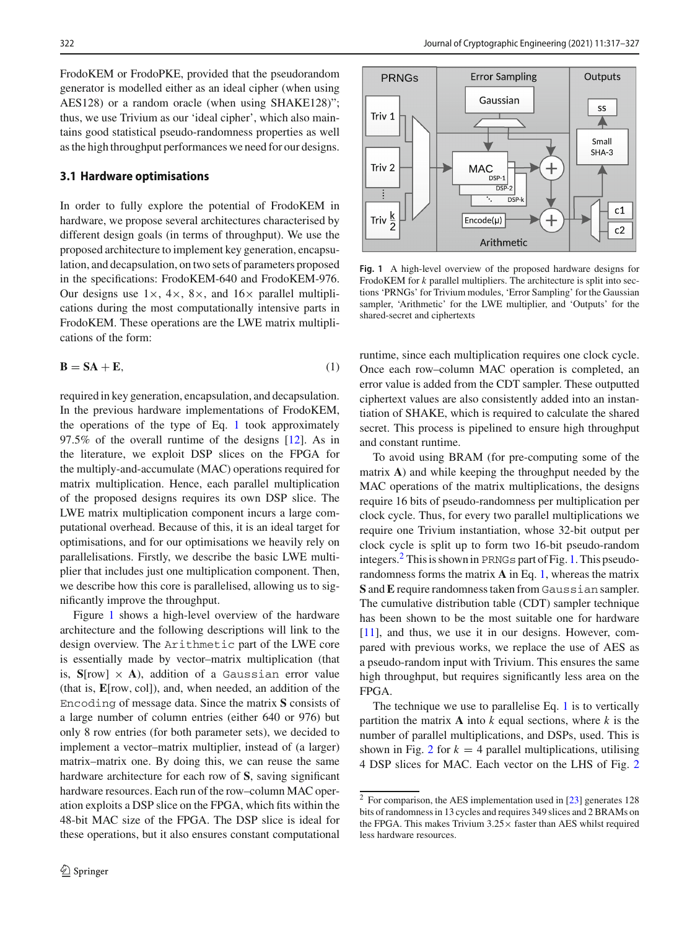FrodoKEM or FrodoPKE, provided that the pseudorandom generator is modelled either as an ideal cipher (when using AES128) or a random oracle (when using SHAKE128)"; thus, we use Trivium as our 'ideal cipher', which also maintains good statistical pseudo-randomness properties as well as the high throughput performances we need for our designs.

#### **3.1 Hardware optimisations**

In order to fully explore the potential of FrodoKEM in hardware, we propose several architectures characterised by different design goals (in terms of throughput). We use the proposed architecture to implement key generation, encapsulation, and decapsulation, on two sets of parameters proposed in the specifications: FrodoKEM-640 and FrodoKEM-976. Our designs use  $1 \times$ ,  $4 \times$ ,  $8 \times$ , and  $16 \times$  parallel multiplications during the most computationally intensive parts in FrodoKEM. These operations are the LWE matrix multiplications of the form:

<span id="page-6-0"></span>
$$
\mathbf{B} = \mathbf{SA} + \mathbf{E},\tag{1}
$$

required in key generation, encapsulation, and decapsulation. In the previous hardware implementations of FrodoKEM, the operations of the type of Eq. [1](#page-6-0) took approximately 97.5% of the overall runtime of the designs [\[12](#page-11-14)]. As in the literature, we exploit DSP slices on the FPGA for the multiply-and-accumulate (MAC) operations required for matrix multiplication. Hence, each parallel multiplication of the proposed designs requires its own DSP slice. The LWE matrix multiplication component incurs a large computational overhead. Because of this, it is an ideal target for optimisations, and for our optimisations we heavily rely on parallelisations. Firstly, we describe the basic LWE multiplier that includes just one multiplication component. Then, we describe how this core is parallelised, allowing us to significantly improve the throughput.

Figure [1](#page-6-1) shows a high-level overview of the hardware architecture and the following descriptions will link to the design overview. The Arithmetic part of the LWE core is essentially made by vector–matrix multiplication (that is,  $S$ [row]  $\times$  **A**), addition of a Gaussian error value (that is, **E**[row, col]), and, when needed, an addition of the Encoding of message data. Since the matrix **S** consists of a large number of column entries (either 640 or 976) but only 8 row entries (for both parameter sets), we decided to implement a vector–matrix multiplier, instead of (a larger) matrix–matrix one. By doing this, we can reuse the same hardware architecture for each row of **S**, saving significant hardware resources. Each run of the row–column MAC operation exploits a DSP slice on the FPGA, which fits within the 48-bit MAC size of the FPGA. The DSP slice is ideal for these operations, but it also ensures constant computational



<span id="page-6-1"></span>**Fig. 1** A high-level overview of the proposed hardware designs for FrodoKEM for *k* parallel multipliers. The architecture is split into sections 'PRNGs' for Trivium modules, 'Error Sampling' for the Gaussian sampler, 'Arithmetic' for the LWE multiplier, and 'Outputs' for the shared-secret and ciphertexts

runtime, since each multiplication requires one clock cycle. Once each row–column MAC operation is completed, an error value is added from the CDT sampler. These outputted ciphertext values are also consistently added into an instantiation of SHAKE, which is required to calculate the shared secret. This process is pipelined to ensure high throughput and constant runtime.

To avoid using BRAM (for pre-computing some of the matrix **A**) and while keeping the throughput needed by the MAC operations of the matrix multiplications, the designs require 16 bits of pseudo-randomness per multiplication per clock cycle. Thus, for every two parallel multiplications we require one Trivium instantiation, whose 32-bit output per clock cycle is split up to form two 16-bit pseudo-random integers. $<sup>2</sup>$  This is shown in PRNGs part of Fig. [1.](#page-6-1) This pseudo-</sup> randomness forms the matrix **A** in Eq. [1,](#page-6-0) whereas the matrix **S** and**E** require randomness taken from Gaussian sampler. The cumulative distribution table (CDT) sampler technique has been shown to be the most suitable one for hardware [\[11](#page-11-23)], and thus, we use it in our designs. However, compared with previous works, we replace the use of AES as a pseudo-random input with Trivium. This ensures the same high throughput, but requires significantly less area on the FPGA.

The technique we use to parallelise Eq. [1](#page-6-0) is to vertically partition the matrix  $\bf{A}$  into  $k$  equal sections, where  $k$  is the number of parallel multiplications, and DSPs, used. This is shown in Fig. [2](#page-7-1) for  $k = 4$  parallel multiplications, utilising 4 DSP slices for MAC. Each vector on the LHS of Fig. [2](#page-7-1)

<span id="page-6-2"></span><sup>2</sup> For comparison, the AES implementation used in [\[23\]](#page-11-24) generates 128 bits of randomness in 13 cycles and requires 349 slices and 2 BRAMs on the FPGA. This makes Trivium  $3.25 \times$  faster than AES whilst required less hardware resources.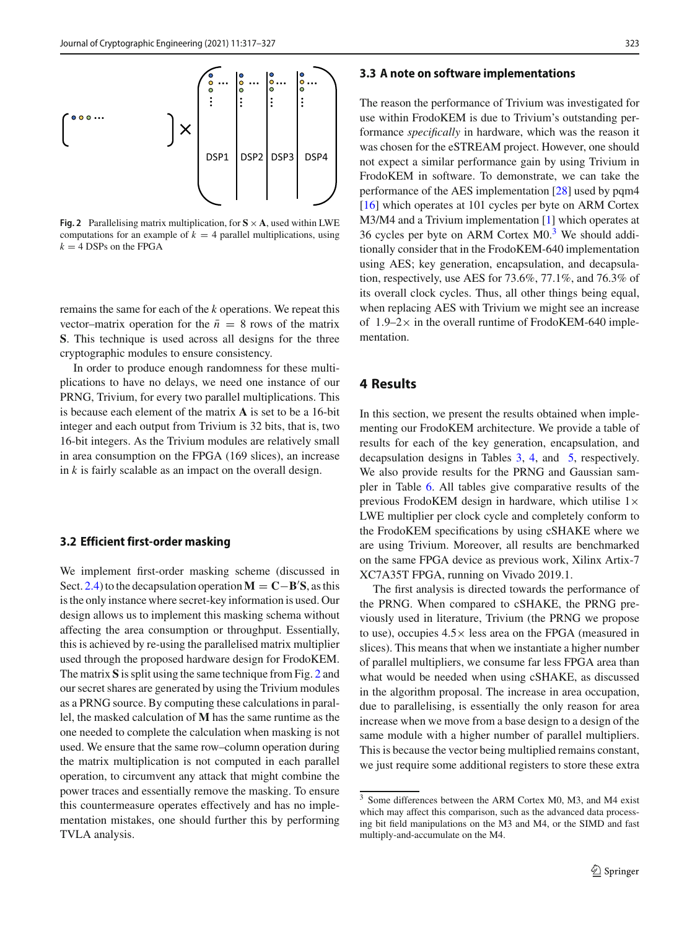

<span id="page-7-1"></span>**Fig. 2** Parallelising matrix multiplication, for  $S \times A$ , used within LWE computations for an example of  $k = 4$  parallel multiplications, using  $k = 4$  DSPs on the FPGA

remains the same for each of the *k* operations. We repeat this vector–matrix operation for the  $\bar{n} = 8$  rows of the matrix **S**. This technique is used across all designs for the three cryptographic modules to ensure consistency.

In order to produce enough randomness for these multiplications to have no delays, we need one instance of our PRNG, Trivium, for every two parallel multiplications. This is because each element of the matrix **A** is set to be a 16-bit integer and each output from Trivium is 32 bits, that is, two 16-bit integers. As the Trivium modules are relatively small in area consumption on the FPGA (169 slices), an increase in *k* is fairly scalable as an impact on the overall design.

#### **3.2 Efficient first-order masking**

We implement first-order masking scheme (discussed in Sect. [2.4\)](#page-4-2) to the decapsulation operation**M** = **C**−**B S**, as this is the only instance where secret-key information is used. Our design allows us to implement this masking schema without affecting the area consumption or throughput. Essentially, this is achieved by re-using the parallelised matrix multiplier used through the proposed hardware design for FrodoKEM. The matrix **S** is split using the same technique from Fig. [2](#page-7-1) and our secret shares are generated by using the Trivium modules as a PRNG source. By computing these calculations in parallel, the masked calculation of **M** has the same runtime as the one needed to complete the calculation when masking is not used. We ensure that the same row–column operation during the matrix multiplication is not computed in each parallel operation, to circumvent any attack that might combine the power traces and essentially remove the masking. To ensure this countermeasure operates effectively and has no implementation mistakes, one should further this by performing TVLA analysis.

#### **3.3 A note on software implementations**

The reason the performance of Trivium was investigated for use within FrodoKEM is due to Trivium's outstanding performance *specifically* in hardware, which was the reason it was chosen for the eSTREAM project. However, one should not expect a similar performance gain by using Trivium in FrodoKEM in software. To demonstrate, we can take the performance of the AES implementation [\[28](#page-11-25)] used by pqm4 [\[16](#page-11-17)] which operates at 101 cycles per byte on ARM Cortex M3/M4 and a Trivium implementation [\[1\]](#page-10-3) which operates at 36 cycles per byte on ARM Cortex M0.[3](#page-7-2) We should additionally consider that in the FrodoKEM-640 implementation using AES; key generation, encapsulation, and decapsulation, respectively, use AES for 73.6%, 77.1%, and 76.3% of its overall clock cycles. Thus, all other things being equal, when replacing AES with Trivium we might see an increase of  $1.9-2\times$  in the overall runtime of FrodoKEM-640 implementation.

#### <span id="page-7-0"></span>**4 Results**

In this section, we present the results obtained when implementing our FrodoKEM architecture. We provide a table of results for each of the key generation, encapsulation, and decapsulation designs in Tables [3,](#page-8-0) [4,](#page-8-1) and [5,](#page-9-1) respectively. We also provide results for the PRNG and Gaussian sampler in Table [6.](#page-9-2) All tables give comparative results of the previous FrodoKEM design in hardware, which utilise  $1 \times$ LWE multiplier per clock cycle and completely conform to the FrodoKEM specifications by using cSHAKE where we are using Trivium. Moreover, all results are benchmarked on the same FPGA device as previous work, Xilinx Artix-7 XC7A35T FPGA, running on Vivado 2019.1.

The first analysis is directed towards the performance of the PRNG. When compared to cSHAKE, the PRNG previously used in literature, Trivium (the PRNG we propose to use), occupies  $4.5 \times$  less area on the FPGA (measured in slices). This means that when we instantiate a higher number of parallel multipliers, we consume far less FPGA area than what would be needed when using cSHAKE, as discussed in the algorithm proposal. The increase in area occupation, due to parallelising, is essentially the only reason for area increase when we move from a base design to a design of the same module with a higher number of parallel multipliers. This is because the vector being multiplied remains constant, we just require some additional registers to store these extra

<span id="page-7-2"></span><sup>3</sup> Some differences between the ARM Cortex M0, M3, and M4 exist which may affect this comparison, such as the advanced data processing bit field manipulations on the M3 and M4, or the SIMD and fast multiply-and-accumulate on the M4.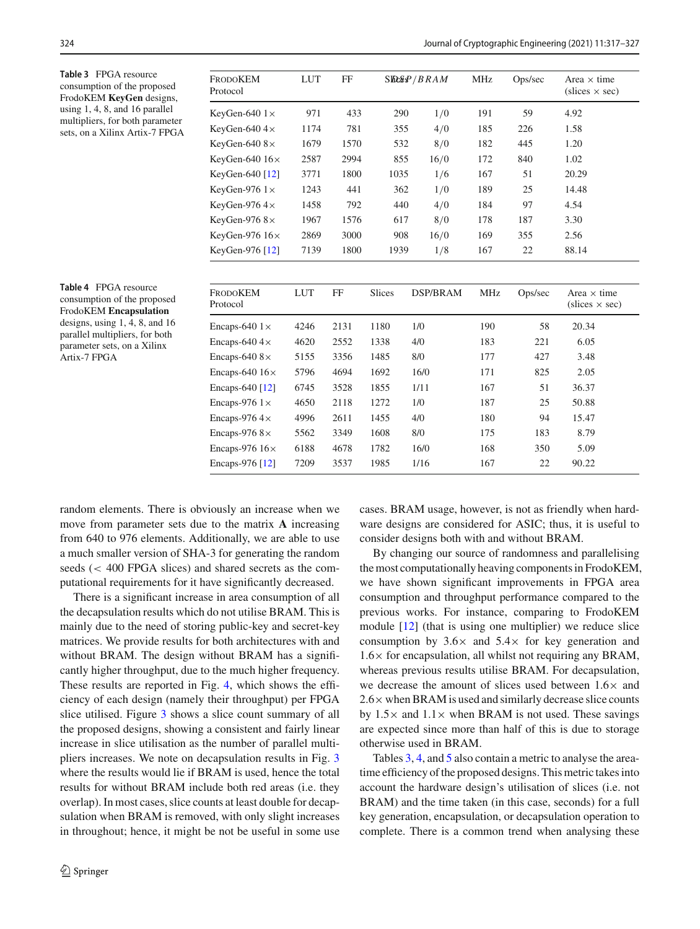<span id="page-8-0"></span>**Table 3** FPGA resource consumption of the proposed FrodoKEM **KeyGen** designs, using 1, 4, 8, and 16 parallel multipliers, for both parameter sets, on a Xilinx Artix-7 FPGA

| <b>FRODOKEM</b><br>Protocol | <b>LUT</b>   | FF   |        | $S$ ll $C$ $B$ $P$ $/$ $B$ $R$ $A$ $M$ | MHz | Ops/sec | Area $\times$ time<br>$(slices \times sec)$ |
|-----------------------------|--------------|------|--------|----------------------------------------|-----|---------|---------------------------------------------|
| KeyGen-640 $1\times$        | 971          | 433  | 290    | 1/0                                    | 191 | 59      | 4.92                                        |
| KeyGen-640 $4\times$        | 1174         | 781  | 355    | 4/0                                    | 185 | 226     | 1.58                                        |
| KeyGen-640 $8\times$        | 1679         | 1570 | 532    | 8/0                                    | 182 | 445     | 1.20                                        |
| KeyGen-640 $16\times$       | 2587         | 2994 | 855    | 16/0                                   | 172 | 840     | 1.02                                        |
| KeyGen-640 $[12]$           | 3771         | 1800 | 1035   | 1/6                                    | 167 | 51      | 20.29                                       |
| KeyGen-976 $1\times$        | 1243         | 441  | 362    | 1/0                                    | 189 | 25      | 14.48                                       |
| KeyGen-976 $4\times$        | 1458         | 792  | 440    | 4/0                                    | 184 | 97      | 4.54                                        |
| KeyGen-976 $8\times$        | 1967         | 1576 | 617    | 8/0                                    | 178 | 187     | 3.30                                        |
| KeyGen-976 $16\times$       | 2869         | 3000 | 908    | 16/0                                   | 169 | 355     | 2.56                                        |
| KeyGen-976 $[12]$           | 7139         | 1800 | 1939   | 1/8                                    | 167 | 22      | 88.14                                       |
| <b>FRODOKEM</b>             | LUT          | FF   | Slices | DSP/BRAM                               | MHz | Ops/sec | Area $\times$ time                          |
| Protocol                    |              |      |        |                                        |     |         | $(slices \times sec)$                       |
| Free SAO $1\times$          | $\Delta 246$ | 2131 | 1180   | 1/0                                    | 190 | 58      | 20.34                                       |

<span id="page-8-1"></span>**Table 4** FPGA resource consumption of the proposed FrodoKEM **Encapsulation** designs, using 1, 4, 8, and 16 parallel multipliers, for both parameter sets, on a Xilinx Artix-7 FPGA

| <b>FRODOKEM</b><br>Protocol | <b>LUT</b> | FF   | <b>Slices</b> | DSP/BRAM | <b>MHz</b> | Ops/sec | Area $\times$ time<br>$(slices \times sec)$ |
|-----------------------------|------------|------|---------------|----------|------------|---------|---------------------------------------------|
| Encaps-640 $1\times$        | 4246       | 2131 | 1180          | 1/0      | 190        | 58      | 20.34                                       |
| Encaps-640 $4\times$        | 4620       | 2552 | 1338          | 4/0      | 183        | 221     | 6.05                                        |
| Encaps-640 $8 \times$       | 5155       | 3356 | 1485          | 8/0      | 177        | 427     | 3.48                                        |
| Encaps-640 $16\times$       | 5796       | 4694 | 1692          | 16/0     | 171        | 825     | 2.05                                        |
| Encaps-640 [12]             | 6745       | 3528 | 1855          | 1/11     | 167        | 51      | 36.37                                       |
| Encaps-976 $1\times$        | 4650       | 2118 | 1272          | 1/0      | 187        | 25      | 50.88                                       |
| Encaps-976 $4\times$        | 4996       | 2611 | 1455          | 4/0      | 180        | 94      | 15.47                                       |
| Encaps-976 $8\times$        | 5562       | 3349 | 1608          | 8/0      | 175        | 183     | 8.79                                        |
| Encaps-976 $16\times$       | 6188       | 4678 | 1782          | 16/0     | 168        | 350     | 5.09                                        |
| Encaps-976 [12]             | 7209       | 3537 | 1985          | 1/16     | 167        | 22      | 90.22                                       |

random elements. There is obviously an increase when we move from parameter sets due to the matrix **A** increasing from 640 to 976 elements. Additionally, we are able to use a much smaller version of SHA-3 for generating the random seeds (< 400 FPGA slices) and shared secrets as the computational requirements for it have significantly decreased.

There is a significant increase in area consumption of all the decapsulation results which do not utilise BRAM. This is mainly due to the need of storing public-key and secret-key matrices. We provide results for both architectures with and without BRAM. The design without BRAM has a significantly higher throughput, due to the much higher frequency. These results are reported in Fig. [4,](#page-10-4) which shows the efficiency of each design (namely their throughput) per FPGA slice utilised. Figure [3](#page-10-5) shows a slice count summary of all the proposed designs, showing a consistent and fairly linear increase in slice utilisation as the number of parallel multipliers increases. We note on decapsulation results in Fig. [3](#page-10-5) where the results would lie if BRAM is used, hence the total results for without BRAM include both red areas (i.e. they overlap). In most cases, slice counts at least double for decapsulation when BRAM is removed, with only slight increases in throughout; hence, it might be not be useful in some use cases. BRAM usage, however, is not as friendly when hardware designs are considered for ASIC; thus, it is useful to consider designs both with and without BRAM.

By changing our source of randomness and parallelising the most computationally heaving components in FrodoKEM, we have shown significant improvements in FPGA area consumption and throughput performance compared to the previous works. For instance, comparing to FrodoKEM module [\[12\]](#page-11-14) (that is using one multiplier) we reduce slice consumption by  $3.6\times$  and  $5.4\times$  for key generation and  $1.6\times$  for encapsulation, all whilst not requiring any BRAM, whereas previous results utilise BRAM. For decapsulation, we decrease the amount of slices used between 1.6× and  $2.6\times$  when BRAM is used and similarly decrease slice counts by  $1.5\times$  and  $1.1\times$  when BRAM is not used. These savings are expected since more than half of this is due to storage otherwise used in BRAM.

Tables [3,](#page-8-0) [4,](#page-8-1) and [5](#page-9-1) also contain a metric to analyse the areatime efficiency of the proposed designs. This metric takes into account the hardware design's utilisation of slices (i.e. not BRAM) and the time taken (in this case, seconds) for a full key generation, encapsulation, or decapsulation operation to complete. There is a common trend when analysing these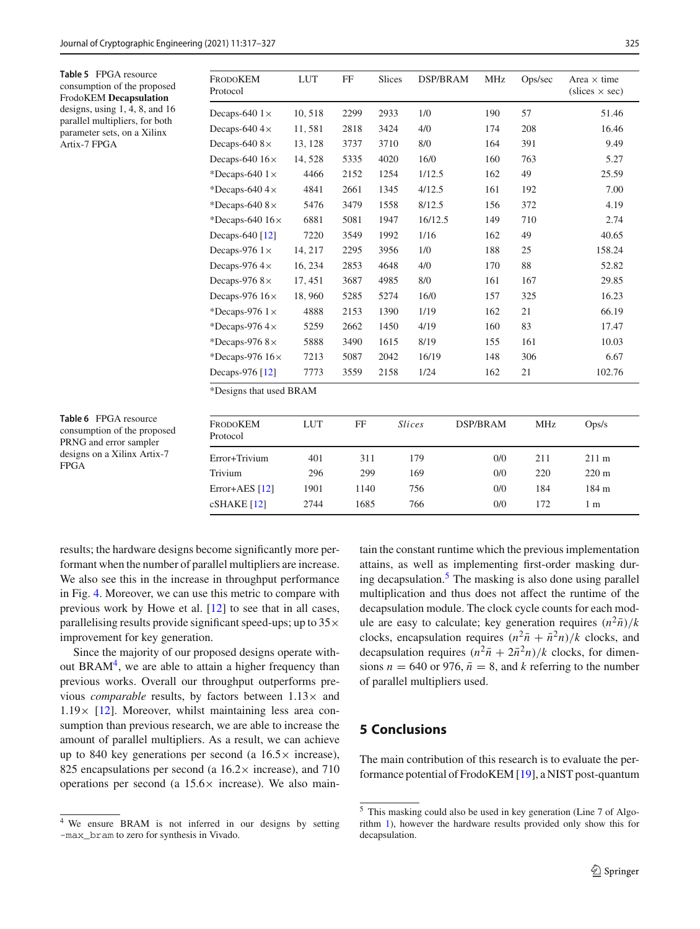<span id="page-9-1"></span>**Table 5** FPGA resource consumption of the proposed FrodoKEM **Decapsulation** designs, using 1, 4, 8, and 16 parallel multipliers, for both parameter sets, on a Xilinx Artix-7 FPGA

| FrodoKEM<br>Protocol   | <b>LUT</b> | FF   | <b>Slices</b> | DSP/BRAM | <b>MHz</b> | Ops/sec | Area $\times$ time<br>$(slices \times sec)$ |
|------------------------|------------|------|---------------|----------|------------|---------|---------------------------------------------|
| Decaps-640 $1\times$   | 10,518     | 2299 | 2933          | 1/0      | 190        | 57      | 51.46                                       |
| Decaps-640 $4\times$   | 11,581     | 2818 | 3424          | 4/0      | 174        | 208     | 16.46                                       |
| Decaps-640 $8\times$   | 13, 128    | 3737 | 3710          | 8/0      | 164        | 391     | 9.49                                        |
| Decaps-640 $16\times$  | 14, 528    | 5335 | 4020          | 16/0     | 160        | 763     | 5.27                                        |
| *Decaps-640 $1\times$  | 4466       | 2152 | 1254          | 1/12.5   | 162        | 49      | 25.59                                       |
| *Decaps-640 $4\times$  | 4841       | 2661 | 1345          | 4/12.5   | 161        | 192     | 7.00                                        |
| *Decaps-640 $8\times$  | 5476       | 3479 | 1558          | 8/12.5   | 156        | 372     | 4.19                                        |
| *Decaps-640 $16\times$ | 6881       | 5081 | 1947          | 16/12.5  | 149        | 710     | 2.74                                        |
| Decaps-640 [12]        | 7220       | 3549 | 1992          | 1/16     | 162        | 49      | 40.65                                       |
| Decaps-976 $1\times$   | 14, 217    | 2295 | 3956          | 1/0      | 188        | 25      | 158.24                                      |
| Decaps-976 $4\times$   | 16, 234    | 2853 | 4648          | 4/0      | 170        | 88      | 52.82                                       |
| Decaps-976 $8\times$   | 17, 451    | 3687 | 4985          | 8/0      | 161        | 167     | 29.85                                       |
| Decaps-976 $16\times$  | 18,960     | 5285 | 5274          | 16/0     | 157        | 325     | 16.23                                       |
| *Decaps-976 $1\times$  | 4888       | 2153 | 1390          | 1/19     | 162        | 21      | 66.19                                       |
| *Decaps-976 $4\times$  | 5259       | 2662 | 1450          | 4/19     | 160        | 83      | 17.47                                       |
| *Decaps-976 $8\times$  | 5888       | 3490 | 1615          | 8/19     | 155        | 161     | 10.03                                       |
| *Decaps-976 $16\times$ | 7213       | 5087 | 2042          | 16/19    | 148        | 306     | 6.67                                        |
| Decaps-976 [12]        | 7773       | 3559 | 2158          | 1/24     | 162        | 21      | 102.76                                      |

<span id="page-9-2"></span>**Table 6** FPGA resource consumption of the proposed PRNG and error sampler designs on a Xilinx Artix-7 FPGA

| <b>FRODOKEM</b><br>Protocol | LUT  | FF   | <i>Slices</i> | DSP/BRAM | MHz | Ops/s           |
|-----------------------------|------|------|---------------|----------|-----|-----------------|
| Error+Trivium               | 401  | 311  | 179           | 0/0      | 211 | $211 \text{ m}$ |
| Trivium                     | 296  | 299  | 169           | 0/0      | 220 | $220 \text{ m}$ |
| Error+AES $[12]$            | 1901 | 1140 | 756           | 0/0      | 184 | 184 m           |
| $cSHAKE$ [12]               | 2744 | 1685 | 766           | 0/0      | 172 | 1 m             |

results; the hardware designs become significantly more performant when the number of parallel multipliers are increase. We also see this in the increase in throughput performance in Fig. [4.](#page-10-4) Moreover, we can use this metric to compare with previous work by Howe et al. [\[12](#page-11-14)] to see that in all cases, parallelising results provide significant speed-ups; up to  $35\times$ improvement for key generation.

Since the majority of our proposed designs operate without  $BRAM<sup>4</sup>$ , we are able to attain a higher frequency than previous works. Overall our throughput outperforms previous *comparable* results, by factors between  $1.13 \times$  and  $1.19\times$  [\[12](#page-11-14)]. Moreover, whilst maintaining less area consumption than previous research, we are able to increase the amount of parallel multipliers. As a result, we can achieve up to 840 key generations per second (a  $16.5\times$  increase), 825 encapsulations per second (a  $16.2 \times$  increase), and 710 operations per second (a  $15.6\times$  increase). We also maintain the constant runtime which the previous implementation attains, as well as implementing first-order masking dur-ing decapsulation.<sup>[5](#page-9-4)</sup> The masking is also done using parallel multiplication and thus does not affect the runtime of the decapsulation module. The clock cycle counts for each module are easy to calculate; key generation requires  $(n^2\bar{n})/k$ clocks, encapsulation requires  $(n^2\bar{n} + \bar{n}^2n)/k$  clocks, and decapsulation requires  $(n^2\bar{n} + 2\bar{n}^2n)/k$  clocks, for dimensions  $n = 640$  or 976,  $\bar{n} = 8$ , and *k* referring to the number of parallel multipliers used.

## <span id="page-9-0"></span>**5 Conclusions**

The main contribution of this research is to evaluate the performance potential of FrodoKEM [\[19](#page-11-6)], a NIST post-quantum

<span id="page-9-3"></span><sup>4</sup> We ensure BRAM is not inferred in our designs by setting -max\_bram to zero for synthesis in Vivado.

<span id="page-9-4"></span><sup>5</sup> This masking could also be used in key generation (Line 7 of Algorithm [1\)](#page-3-2), however the hardware results provided only show this for decapsulation.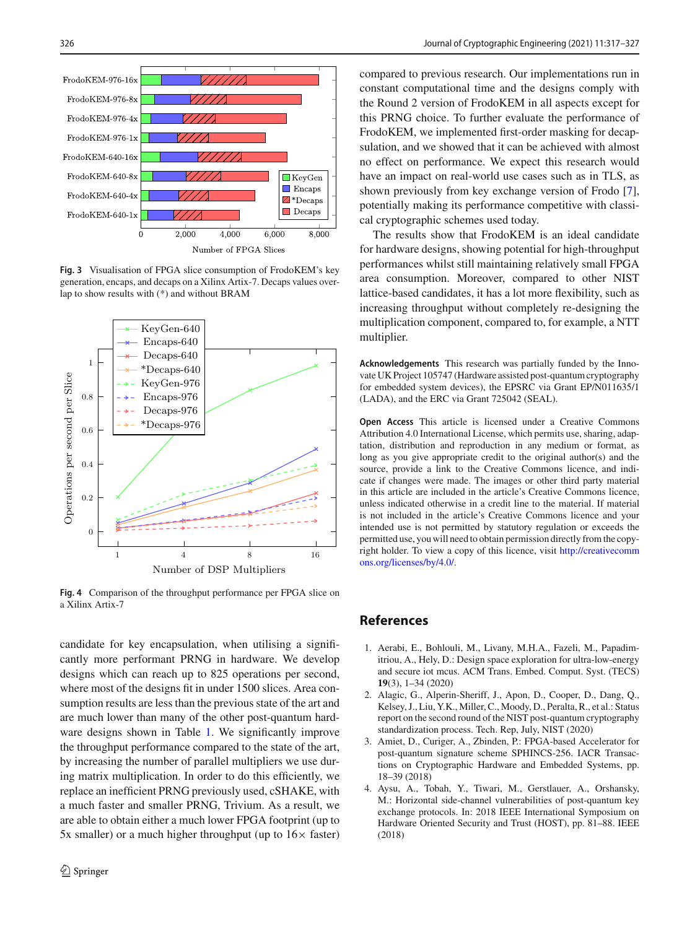

<span id="page-10-5"></span>**Fig. 3** Visualisation of FPGA slice consumption of FrodoKEM's key generation, encaps, and decaps on a Xilinx Artix-7. Decaps values overlap to show results with (\*) and without BRAM



<span id="page-10-4"></span>**Fig. 4** Comparison of the throughput performance per FPGA slice on a Xilinx Artix-7

candidate for key encapsulation, when utilising a significantly more performant PRNG in hardware. We develop designs which can reach up to 825 operations per second, where most of the designs fit in under 1500 slices. Area consumption results are less than the previous state of the art and are much lower than many of the other post-quantum hard-ware designs shown in Table [1.](#page-3-0) We significantly improve the throughput performance compared to the state of the art, by increasing the number of parallel multipliers we use during matrix multiplication. In order to do this efficiently, we replace an inefficient PRNG previously used, cSHAKE, with a much faster and smaller PRNG, Trivium. As a result, we are able to obtain either a much lower FPGA footprint (up to 5x smaller) or a much higher throughput (up to  $16\times$  faster) compared to previous research. Our implementations run in constant computational time and the designs comply with the Round 2 version of FrodoKEM in all aspects except for this PRNG choice. To further evaluate the performance of FrodoKEM, we implemented first-order masking for decapsulation, and we showed that it can be achieved with almost no effect on performance. We expect this research would have an impact on real-world use cases such as in TLS, as shown previously from key exchange version of Frodo [\[7](#page-11-8)], potentially making its performance competitive with classical cryptographic schemes used today.

The results show that FrodoKEM is an ideal candidate for hardware designs, showing potential for high-throughput performances whilst still maintaining relatively small FPGA area consumption. Moreover, compared to other NIST lattice-based candidates, it has a lot more flexibility, such as increasing throughput without completely re-designing the multiplication component, compared to, for example, a NTT multiplier.

**Acknowledgements** This research was partially funded by the Innovate UK Project 105747 (Hardware assisted post-quantum cryptography for embedded system devices), the EPSRC via Grant EP/N011635/1 (LADA), and the ERC via Grant 725042 (SEAL).

**Open Access** This article is licensed under a Creative Commons Attribution 4.0 International License, which permits use, sharing, adaptation, distribution and reproduction in any medium or format, as long as you give appropriate credit to the original author(s) and the source, provide a link to the Creative Commons licence, and indicate if changes were made. The images or other third party material in this article are included in the article's Creative Commons licence, unless indicated otherwise in a credit line to the material. If material is not included in the article's Creative Commons licence and your intended use is not permitted by statutory regulation or exceeds the permitted use, you will need to obtain permission directly from the copyright holder. To view a copy of this licence, visit [http://creativecomm](http://creativecommons.org/licenses/by/4.0/) [ons.org/licenses/by/4.0/.](http://creativecommons.org/licenses/by/4.0/)

## **References**

- <span id="page-10-3"></span>1. Aerabi, E., Bohlouli, M., Livany, M.H.A., Fazeli, M., Papadimitriou, A., Hely, D.: Design space exploration for ultra-low-energy and secure iot mcus. ACM Trans. Embed. Comput. Syst. (TECS) **19**(3), 1–34 (2020)
- <span id="page-10-2"></span>2. Alagic, G., Alperin-Sheriff, J., Apon, D., Cooper, D., Dang, Q., Kelsey, J., Liu, Y.K., Miller, C., Moody, D., Peralta, R., et al.: Status report on the second round of the NIST post-quantum cryptography standardization process. Tech. Rep, July, NIST (2020)
- <span id="page-10-0"></span>3. Amiet, D., Curiger, A., Zbinden, P.: FPGA-based Accelerator for post-quantum signature scheme SPHINCS-256. IACR Transactions on Cryptographic Hardware and Embedded Systems, pp. 18–39 (2018)
- <span id="page-10-1"></span>4. Aysu, A., Tobah, Y., Tiwari, M., Gerstlauer, A., Orshansky, M.: Horizontal side-channel vulnerabilities of post-quantum key exchange protocols. In: 2018 IEEE International Symposium on Hardware Oriented Security and Trust (HOST), pp. 81–88. IEEE (2018)